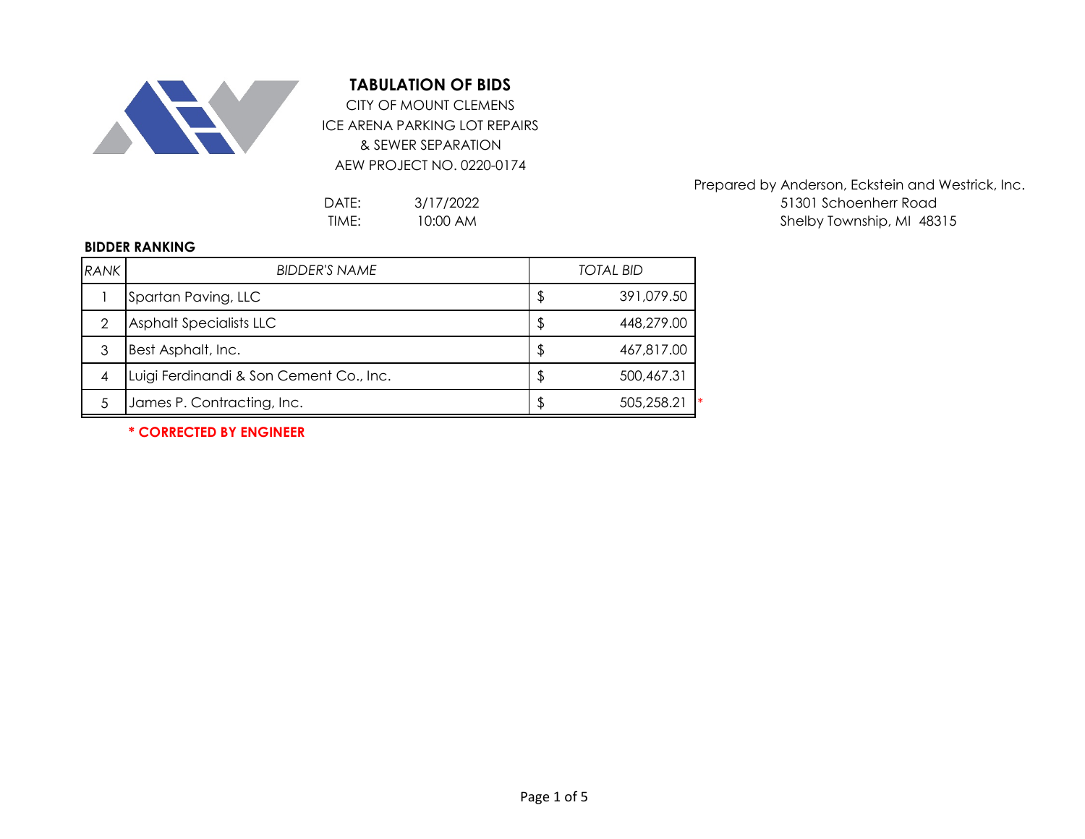

## **TABULATION OF BIDS**

ICE ARENA PARKING LOT REPAIRS & SEWER SEPARATION AEW PROJECT NO. 0220-0174 CITY OF MOUNT CLEMENS

3/17/2022 10:00 AM

Prepared by Anderson, Eckstein and Westrick, Inc. DATE: 3/17/2022 3/17/2022 51301 Schoenherr Road TIME: 10:00 AM and the state of the Shelby Township, MI 48315

## **BIDDER RANKING**

| RANK           | <b>BIDDER'S NAME</b>                    | <b>TOTAL BID</b> |                  |  |
|----------------|-----------------------------------------|------------------|------------------|--|
|                | Spartan Paving, LLC                     | S                | 391,079.50       |  |
|                | Asphalt Specialists LLC                 | S                | 448,279.00       |  |
| 3              | Best Asphalt, Inc.                      | \$               | 467,817.00       |  |
| $\overline{4}$ | Luigi Ferdinandi & Son Cement Co., Inc. | S                | 500,467.31       |  |
|                | James P. Contracting, Inc.              | \$               | 505,258.21<br>∣∗ |  |

**\* CORRECTED BY ENGINEER**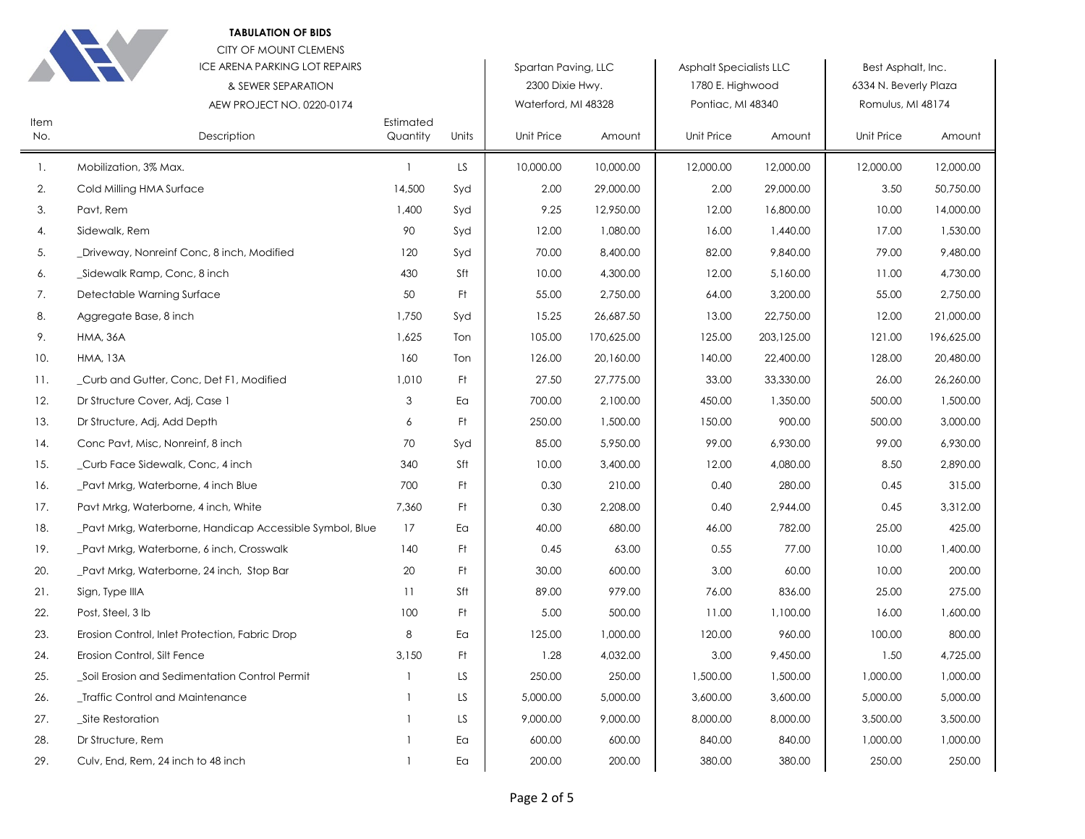**TABULATION OF BIDS** 



Item No.

> $\mathbf{1}$ . 2. 3. 4. 5. 6. 7. 8. 9.  $10.$  $11.$

 $12.$ 

 $13.$ 

 $14.$ 

 $15.$ 

16.

 $17.$ 

18.

19.

20.

 $21.$ 

22.

23.

24.

25.

26.

27.

28.

29.

Sign, Type IIIA

Post, Steel, 3 lb

Site Restoration

Dr Structure, Rem

Erosion Control, Silt Fence

\_Traffic Control and Maintenance

Culv, End, Rem, 24 inch to 48 inch

Dr Structure Cover, Adj, Case 1

Conc Pavt, Misc, Nonreinf, 8 inch

\_Curb Face Sidewalk, Conc, 4 inch

\_Pavt Mrkg, Waterborne, 4 inch Blue

Pavt Mrkg, Waterborne, 4 inch, White

\_Pavt Mrkg, Waterborne, 6 inch, Crosswalk

\_Pavt Mrkg, Waterborne, 24 inch, Stop Bar

Erosion Control, Inlet Protection, Fabric Drop

\_Soil Erosion and Sedimentation Control Permit

\_Pavt Mrkg, Waterborne, Handicap Accessible Symbol, Blue

Dr Structure, Adj, Add Depth

|                              | CITY OF MOUNT CLEMENS<br>ICE ARENA PARKING LOT REPAIRS<br>& SEWER SEPARATION<br>AEW PROJECT NO. 0220-0174 |                       |       | Spartan Paving, LLC<br>2300 Dixie Hwy.<br>Waterford, MI 48328 |            | <b>Asphalt Specialists LLC</b><br>1780 E. Highwood<br>Pontiac, MI 48340 |            | Best Asphalt, Inc.<br>6334 N. Beverly Plaza<br>Romulus, MI 48174 |            |
|------------------------------|-----------------------------------------------------------------------------------------------------------|-----------------------|-------|---------------------------------------------------------------|------------|-------------------------------------------------------------------------|------------|------------------------------------------------------------------|------------|
|                              | Description                                                                                               | Estimated<br>Quantity | Units | Unit Price                                                    | Amount     | Unit Price                                                              | Amount     | Unit Price                                                       | Amount     |
| Mobilization, 3% Max.        |                                                                                                           |                       | LS    | 10,000.00                                                     | 10,000.00  | 12,000.00                                                               | 12,000.00  | 12,000.00                                                        | 12,000.00  |
| Cold Milling HMA Surface     |                                                                                                           | 14,500                | Syd   | 2.00                                                          | 29,000.00  | 2.00                                                                    | 29,000.00  | 3.50                                                             | 50,750.00  |
| Pavt, Rem                    |                                                                                                           | 1,400                 | Syd   | 9.25                                                          | 12,950.00  | 12.00                                                                   | 16,800.00  | 10.00                                                            | 14,000.00  |
| Sidewalk, Rem                |                                                                                                           | 90                    | Syd   | 12.00                                                         | 1,080.00   | 16.00                                                                   | 1,440.00   | 17.00                                                            | 1,530.00   |
|                              | _Driveway, Nonreinf Conc, 8 inch, Modified                                                                | 120                   | Syd   | 70.00                                                         | 8,400.00   | 82.00                                                                   | 9,840.00   | 79.00                                                            | 9,480.00   |
| _Sidewalk Ramp, Conc, 8 inch |                                                                                                           | 430                   | Sft   | 10.00                                                         | 4,300.00   | 12.00                                                                   | 5,160.00   | 11.00                                                            | 4,730.00   |
| Detectable Warning Surface   |                                                                                                           | 50                    | Ft    | 55.00                                                         | 2,750.00   | 64.00                                                                   | 3,200.00   | 55.00                                                            | 2,750.00   |
| Aggregate Base, 8 inch       |                                                                                                           | 1,750                 | Syd   | 15.25                                                         | 26,687.50  | 13.00                                                                   | 22,750.00  | 12.00                                                            | 21,000.00  |
| <b>HMA, 36A</b>              |                                                                                                           | 1,625                 | Ton   | 105.00                                                        | 170,625.00 | 125.00                                                                  | 203,125.00 | 121.00                                                           | 196,625.00 |
| <b>HMA, 13A</b>              |                                                                                                           | 160                   | Ton   | 126.00                                                        | 20,160.00  | 140.00                                                                  | 22,400.00  | 128.00                                                           | 20,480.00  |
|                              | Curb and Gutter, Conc, Det F1, Modified                                                                   | 1,010                 | Ft    | 27.50                                                         | 27,775.00  | 33.00                                                                   | 33,330.00  | 26.00                                                            | 26,260.00  |

700.00

250.00

85.00

10.00

0.30

 $0.30$ 

40.00

 $0.45$ 

30.00

89.00

5.00

1.28

125.00

250.00

5,000.00

9,000.00

600.00

200.00

 $\mathbf{3}$ 

6

70

340

700

7,360

 $17$ 

140

20

 $11$ 

100

 $\,8\,$ 

3,150

 $\mathbf{1}$ 

 $\mathbf{1}$ 

 $\mathbf{1}$ 

 $\mathbf{1}$ 

 $\mathbf{1}$ 

Ea

Ft

Syd

Sft

 $F<sub>t</sub>$ 

 $F<sup>†</sup>$ 

Ea

Ft

 $F<sup>†</sup>$ 

Sft

 $F<sub>t</sub>$ 

Ea

Ft

LS

LS

LS

Ea

Ea

2,100.00

1,500.00

5,950.00

3,400.00

210.00

2,208.00

680.00

63.00

600.00

979.00

500.00

1,000.00

4,032.00

250.00

5,000.00

9,000.00

600.00

200.00

450.00

150.00

99.00

12.00

 $0.40$ 

 $0.40$ 

46.00

 $0.55$ 

3.00

76.00

11.00

120.00

3.00

1,500.00

3,600.00

8,000.00

840.00

380.00

1,350.00

900.00

6,930.00

4,080.00

280.00

2,944.00

782.00

77.00

60.00

836.00

1,100.00

960.00

9,450.00

1,500.00

3,600.00

8,000.00

840.00

380.00

500.00

500.00

99.00

8.50

 $0.45$ 

 $0.45$ 

25.00

10.00

10.00

25.00

16.00

100.00

1,000.00

5,000.00

3,500.00

1,000.00

250.00

1.50

1,500.00

3,000.00

6,930.00

2.890.00

315.00

3,312.00

425.00

1,400.00

200.00

275.00

1,600.00

800.00

4,725.00

1,000.00

5,000.00

3,500.00

1,000.00

250.00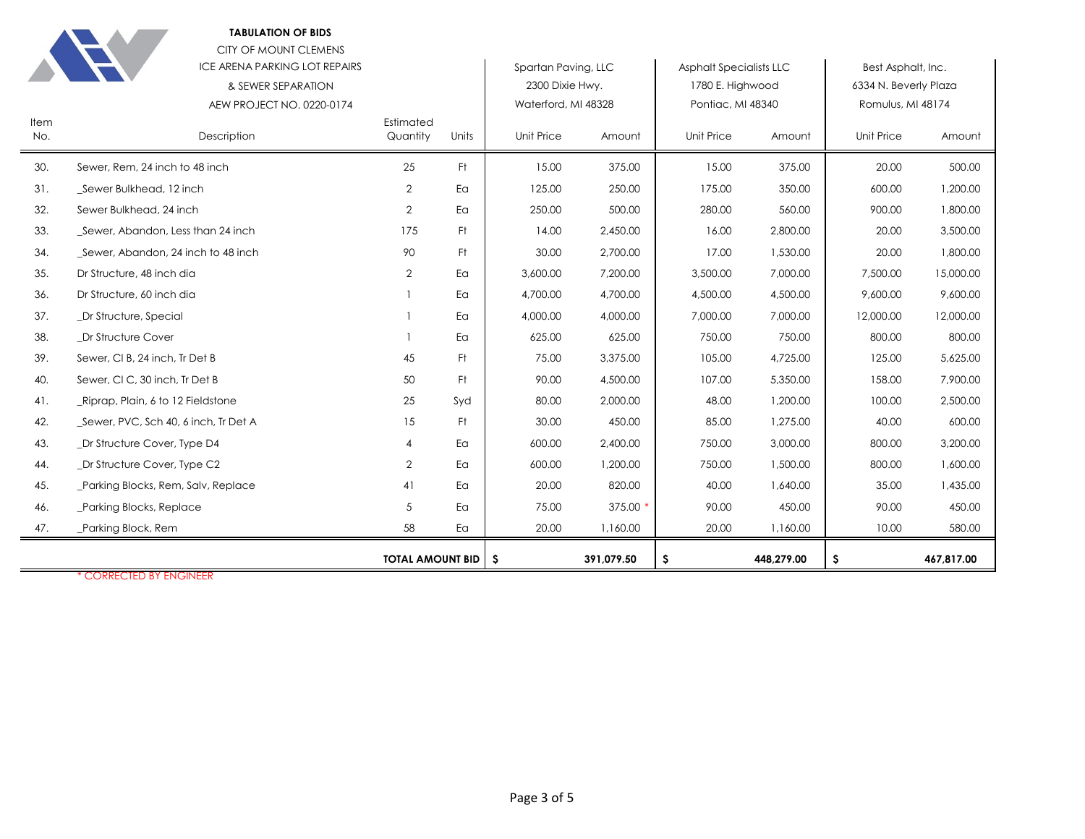**TABULATION OF BIDS**



CITY OF MOUNT CLEMENS

|      | ICE ARENA PARKING LOT REPAIRS                   |                         |       | Spartan Paving, LLC                    |            | <b>Asphalt Specialists LLC</b>        |            | Best Asphalt, Inc.                         |            |
|------|-------------------------------------------------|-------------------------|-------|----------------------------------------|------------|---------------------------------------|------------|--------------------------------------------|------------|
|      | & SEWER SEPARATION<br>AEW PROJECT NO. 0220-0174 |                         |       | 2300 Dixie Hwy.<br>Waterford, MI 48328 |            | 1780 E. Highwood<br>Pontiac, MI 48340 |            | 6334 N. Beverly Plaza<br>Romulus, MI 48174 |            |
| Item |                                                 | Estimated               |       |                                        |            |                                       |            |                                            |            |
| No.  | Description                                     | Quantity                | Units | Unit Price                             | Amount     | Unit Price                            | Amount     | <b>Unit Price</b>                          | Amount     |
| 30.  | Sewer, Rem, 24 inch to 48 inch                  | 25                      | Ft    | 15.00                                  | 375.00     | 15.00                                 | 375.00     | 20.00                                      | 500.00     |
| 31.  | Sewer Bulkhead, 12 inch                         | $\overline{2}$          | Ea    | 125.00                                 | 250.00     | 175.00                                | 350.00     | 600.00                                     | 1,200.00   |
| 32.  | Sewer Bulkhead, 24 inch                         | $\overline{2}$          | Ea    | 250.00                                 | 500.00     | 280.00                                | 560.00     | 900.00                                     | 1,800.00   |
| 33.  | Sewer, Abandon, Less than 24 inch               | 175                     | Ft    | 14.00                                  | 2,450.00   | 16.00                                 | 2,800.00   | 20.00                                      | 3,500.00   |
| 34.  | Sewer, Abandon, 24 inch to 48 inch              | 90                      | Ft    | 30.00                                  | 2,700.00   | 17.00                                 | 1,530.00   | 20.00                                      | 1,800.00   |
| 35.  | Dr Structure, 48 inch dia                       | 2                       | Ea    | 3,600.00                               | 7,200.00   | 3,500.00                              | 7,000.00   | 7,500.00                                   | 15,000.00  |
| 36.  | Dr Structure, 60 inch dia                       |                         | Ea    | 4,700.00                               | 4,700.00   | 4,500.00                              | 4,500.00   | 9,600.00                                   | 9,600.00   |
| 37.  | _Dr Structure, Special                          |                         | Ea    | 4,000.00                               | 4,000.00   | 7,000.00                              | 7,000.00   | 12,000.00                                  | 12,000.00  |
| 38.  | Dr Structure Cover                              |                         | Ea    | 625.00                                 | 625.00     | 750.00                                | 750.00     | 800.00                                     | 800.00     |
| 39.  | Sewer, CI B, 24 inch, Tr Det B                  | 45                      | Ft.   | 75.00                                  | 3,375.00   | 105.00                                | 4,725.00   | 125.00                                     | 5,625.00   |
| 40.  | Sewer, CI C, 30 inch, Tr Det B                  | 50                      | Ft.   | 90.00                                  | 4,500.00   | 107.00                                | 5,350.00   | 158.00                                     | 7,900.00   |
| 41.  | Riprap, Plain, 6 to 12 Fieldstone               | 25                      | Syd   | 80.00                                  | 2,000.00   | 48.00                                 | 1,200.00   | 100.00                                     | 2,500.00   |
| 42.  | _Sewer, PVC, Sch 40, 6 inch, Tr Det A           | 15                      | Ft.   | 30.00                                  | 450.00     | 85.00                                 | 1,275.00   | 40.00                                      | 600.00     |
| 43.  | Dr Structure Cover, Type D4                     |                         | Ea    | 600.00                                 | 2,400.00   | 750.00                                | 3,000.00   | 800.00                                     | 3,200.00   |
| 44.  | _Dr Structure Cover, Type C2                    | 2                       | Ea    | 600.00                                 | 1,200.00   | 750.00                                | 1,500.00   | 800.00                                     | 1,600.00   |
| 45.  | _Parking Blocks, Rem, Salv, Replace             | 41                      | Ea    | 20.00                                  | 820.00     | 40.00                                 | 1,640.00   | 35.00                                      | 1,435.00   |
| 46.  | Parking Blocks, Replace                         | 5                       | Ea    | 75.00                                  | 375.00 *   | 90.00                                 | 450.00     | 90.00                                      | 450.00     |
| 47.  | _Parking Block, Rem                             | 58                      | Ea    | 20.00                                  | 1,160.00   | 20.00                                 | 1,160.00   | 10.00                                      | 580.00     |
|      |                                                 | <b>TOTAL AMOUNT BID</b> |       | - \$                                   | 391,079.50 | \$                                    | 448,279.00 | \$                                         | 467,817.00 |

\* CORRECTED BY ENGINEER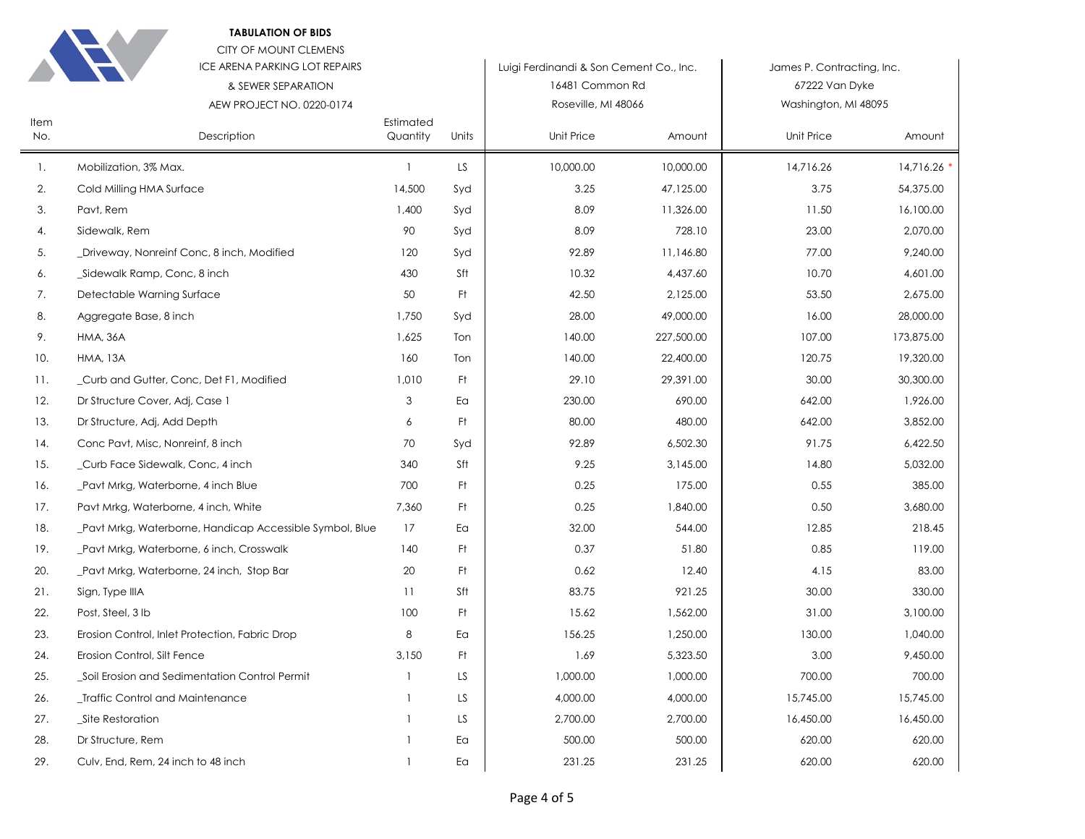|  | <b>TABULATION OF BIDS</b> |  |  |
|--|---------------------------|--|--|
|--|---------------------------|--|--|

18. Pavt Mrkg, Waterborne, Handicap Accessible Symbol, Blue 17 Ea 19. Pavt Mrkg, Waterborne, 6 inch, Crosswalk 140 Ft 20. Pavt Mrkg, Waterborne, 24 inch, Stop Bar 20 Ft 21. Sign, Type IIIA 21. Sign, Type III 22. Post, Steel, 3 lb 100 Ft 23. Erosion Control, Inlet Protection, Fabric Drop 8 Ea 24. Erosion Control, Silt Fence 3,150 Ft 25. Soil Erosion and Sedimentation Control Permit 1 LS 26. Let Traffic Control and Maintenance 26. 2012 12:30 27. Site Restoration 27. Site Restoration 2. 28. Dr Structure, Rem 1 Ea 29. Culv, End, Rem, 24 inch to 48 inch 1 and 1 Ea



Item

|                    | <b>CITY OF MOUNT CLEMENS</b>               |                       |       |                                         |            |                            |            |  |
|--------------------|--------------------------------------------|-----------------------|-------|-----------------------------------------|------------|----------------------------|------------|--|
|                    | <b>ICE ARENA PARKING LOT REPAIRS</b>       |                       |       | Luigi Ferdinandi & Son Cement Co., Inc. |            | James P. Contracting, Inc. |            |  |
|                    | & SEWER SEPARATION                         |                       |       | 16481 Common Rd                         |            | 67222 Van Dyke             |            |  |
|                    | AEW PROJECT NO. 0220-0174                  |                       |       | Roseville, MI 48066                     |            | Washington, MI 48095       |            |  |
| <b>Item</b><br>No. | Description                                | Estimated<br>Quantity | Units | Unit Price                              | Amount     | Unit Price                 | Amount     |  |
| $\mathbf{1}$ .     | Mobilization, 3% Max.                      |                       | LS    | 10,000.00                               | 10,000.00  | 14,716.26                  | 14,716.26  |  |
| 2.                 | Cold Milling HMA Surface                   | 14,500                | Syd   | 3.25                                    | 47,125.00  | 3.75                       | 54,375.00  |  |
| 3.                 | Pavt, Rem                                  | 1,400                 | Syd   | 8.09                                    | 11,326.00  | 11.50                      | 16,100.00  |  |
| 4.                 | Sidewalk, Rem                              | 90                    | Syd   | 8.09                                    | 728.10     | 23.00                      | 2,070.00   |  |
| 5.                 | _Driveway, Nonreinf Conc, 8 inch, Modified | 120                   | Syd   | 92.89                                   | 11,146.80  | 77.00                      | 9,240.00   |  |
| 6.                 | Sidewalk Ramp, Conc, 8 inch                | 430                   | Sft   | 10.32                                   | 4,437.60   | 10.70                      | 4,601.00   |  |
| 7.                 | Detectable Warning Surface                 | 50                    | Ft.   | 42.50                                   | 2,125.00   | 53.50                      | 2,675.00   |  |
| 8.                 | Aggregate Base, 8 inch                     | 1,750                 | Syd   | 28.00                                   | 49,000.00  | 16.00                      | 28,000.00  |  |
| 9.                 | <b>HMA, 36A</b>                            | 1,625                 | Ton   | 140.00                                  | 227,500.00 | 107.00                     | 173,875.00 |  |
| 10.                | <b>HMA, 13A</b>                            | 160                   | Ton   | 140.00                                  | 22,400.00  | 120.75                     | 19,320.00  |  |
| 11.                | Curb and Gutter, Conc, Det F1, Modified    | 1,010                 | Ft.   | 29.10                                   | 29,391.00  | 30.00                      | 30,300.00  |  |
| 12.                | Dr Structure Cover, Adj, Case 1            | 3                     | Ea    | 230.00                                  | 690.00     | 642.00                     | 1,926.00   |  |
| 13.                | Dr Structure, Adj, Add Depth               | 6                     | Ft.   | 80.00                                   | 480.00     | 642.00                     | 3,852.00   |  |
| 14.                | Conc Pavt, Misc, Nonreinf, 8 inch          | 70                    | Syd   | 92.89                                   | 6,502.30   | 91.75                      | 6,422.50   |  |
| 15.                | _Curb Face Sidewalk, Conc, 4 inch          | 340                   | Sft   | 9.25                                    | 3,145.00   | 14.80                      | 5,032.00   |  |
| 16.                | _Pavt Mrkg, Waterborne, 4 inch Blue        | 700                   | Ft.   | 0.25                                    | 175.00     | 0.55                       | 385.00     |  |
| 17.                | Pavt Mrkg, Waterborne, 4 inch, White       | 7,360                 | Ft    | 0.25                                    | 1,840.00   | 0.50                       | 3,680.00   |  |

32.00 544.00 12.85 218.45 0.37 51.80 0.85 119.00 0.62 12.40 4.15 83.00 83.75 921.25 30.00 330.00 15.62 1,562.00 31.00 3,100.00 156.25 1,250.00 130.00 1,040.00 1.69 5,323.50 3.00 9,450.00 1,000.00 1,000.00 700.00 700.00 4,000.00 4,000.00 15,745.00 15,745.00 2,700.00 2,700.00 16,450.00 16,450.00 500.00 500.00 620.00 620.00 231.25 231.25 620.00 620.00